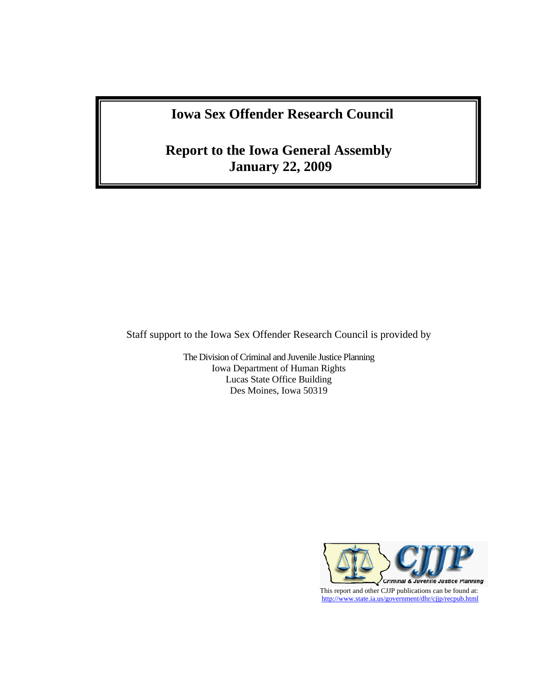# **Iowa Sex Offender Research Council**

# **Report to the Iowa General Assembly January 22, 2009**

Staff support to the Iowa Sex Offender Research Council is provided by

The Division of Criminal and Juvenile Justice Planning Iowa Department of Human Rights Lucas State Office Building Des Moines, Iowa 50319

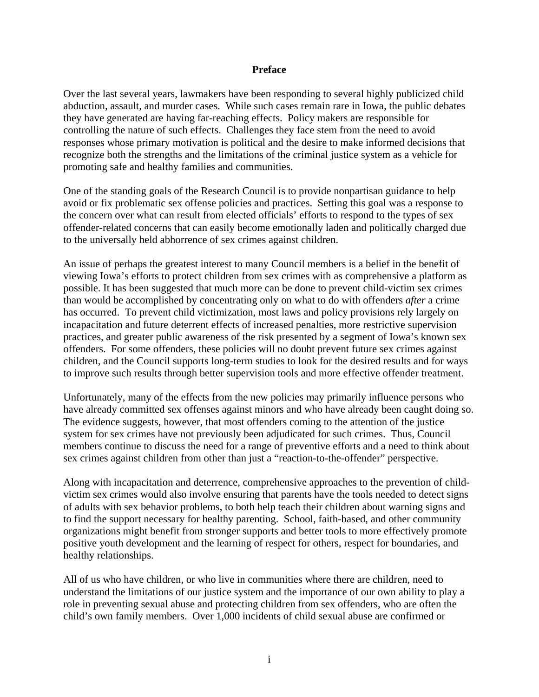#### **Preface**

Over the last several years, lawmakers have been responding to several highly publicized child abduction, assault, and murder cases. While such cases remain rare in Iowa, the public debates they have generated are having far-reaching effects. Policy makers are responsible for controlling the nature of such effects. Challenges they face stem from the need to avoid responses whose primary motivation is political and the desire to make informed decisions that recognize both the strengths and the limitations of the criminal justice system as a vehicle for promoting safe and healthy families and communities.

One of the standing goals of the Research Council is to provide nonpartisan guidance to help avoid or fix problematic sex offense policies and practices. Setting this goal was a response to the concern over what can result from elected officials' efforts to respond to the types of sex offender-related concerns that can easily become emotionally laden and politically charged due to the universally held abhorrence of sex crimes against children.

An issue of perhaps the greatest interest to many Council members is a belief in the benefit of viewing Iowa's efforts to protect children from sex crimes with as comprehensive a platform as possible. It has been suggested that much more can be done to prevent child-victim sex crimes than would be accomplished by concentrating only on what to do with offenders *after* a crime has occurred. To prevent child victimization, most laws and policy provisions rely largely on incapacitation and future deterrent effects of increased penalties, more restrictive supervision practices, and greater public awareness of the risk presented by a segment of Iowa's known sex offenders. For some offenders, these policies will no doubt prevent future sex crimes against children, and the Council supports long-term studies to look for the desired results and for ways to improve such results through better supervision tools and more effective offender treatment.

Unfortunately, many of the effects from the new policies may primarily influence persons who have already committed sex offenses against minors and who have already been caught doing so. The evidence suggests, however, that most offenders coming to the attention of the justice system for sex crimes have not previously been adjudicated for such crimes. Thus, Council members continue to discuss the need for a range of preventive efforts and a need to think about sex crimes against children from other than just a "reaction-to-the-offender" perspective.

Along with incapacitation and deterrence, comprehensive approaches to the prevention of childvictim sex crimes would also involve ensuring that parents have the tools needed to detect signs of adults with sex behavior problems, to both help teach their children about warning signs and to find the support necessary for healthy parenting. School, faith-based, and other community organizations might benefit from stronger supports and better tools to more effectively promote positive youth development and the learning of respect for others, respect for boundaries, and healthy relationships.

All of us who have children, or who live in communities where there are children, need to understand the limitations of our justice system and the importance of our own ability to play a role in preventing sexual abuse and protecting children from sex offenders, who are often the child's own family members. Over 1,000 incidents of child sexual abuse are confirmed or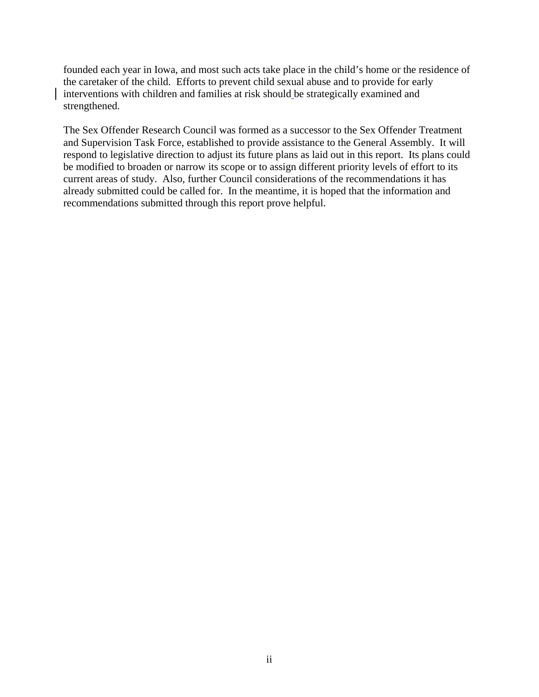founded each year in Iowa, and most such acts take place in the child's home or the residence of the caretaker of the child. Efforts to prevent child sexual abuse and to provide for early interventions with children and families at risk should be strategically examined and strengthened.

The Sex Offender Research Council was formed as a successor to the Sex Offender Treatment and Supervision Task Force, established to provide assistance to the General Assembly. It will respond to legislative direction to adjust its future plans as laid out in this report. Its plans could be modified to broaden or narrow its scope or to assign different priority levels of effort to its current areas of study. Also, further Council considerations of the recommendations it has already submitted could be called for. In the meantime, it is hoped that the information and recommendations submitted through this report prove helpful.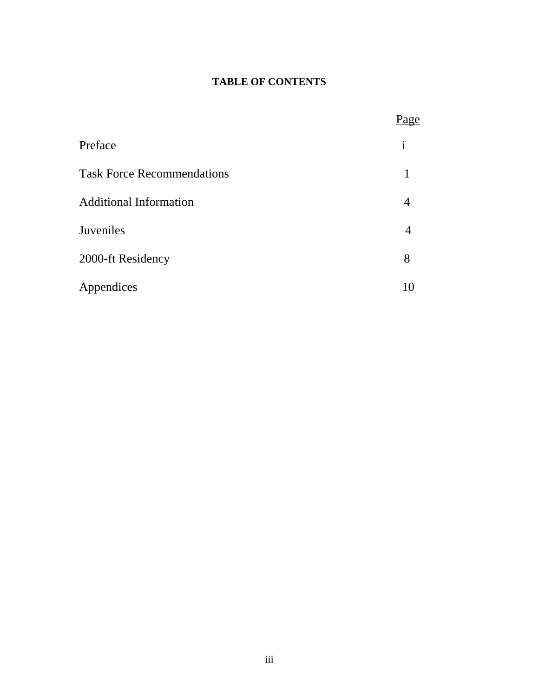## **TABLE OF CONTENTS**

|                                   | Page         |
|-----------------------------------|--------------|
| Preface                           | $\mathbf{i}$ |
| <b>Task Force Recommendations</b> |              |
| <b>Additional Information</b>     |              |
| Juveniles                         | 4            |
| 2000-ft Residency                 | 8            |
| Appendices                        | 10           |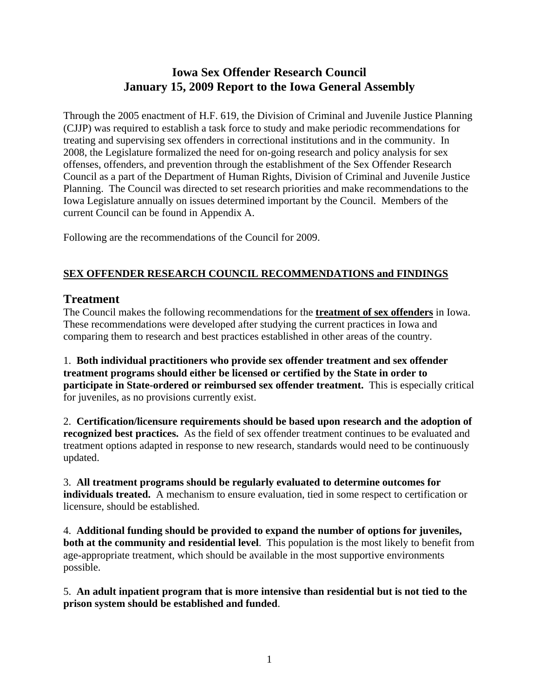## **Iowa Sex Offender Research Council January 15, 2009 Report to the Iowa General Assembly**

Through the 2005 enactment of H.F. 619, the Division of Criminal and Juvenile Justice Planning (CJJP) was required to establish a task force to study and make periodic recommendations for treating and supervising sex offenders in correctional institutions and in the community. In 2008, the Legislature formalized the need for on-going research and policy analysis for sex offenses, offenders, and prevention through the establishment of the Sex Offender Research Council as a part of the Department of Human Rights, Division of Criminal and Juvenile Justice Planning. The Council was directed to set research priorities and make recommendations to the Iowa Legislature annually on issues determined important by the Council. Members of the current Council can be found in Appendix A.

Following are the recommendations of the Council for 2009.

### **SEX OFFENDER RESEARCH COUNCIL RECOMMENDATIONS and FINDINGS**

### **Treatment**

The Council makes the following recommendations for the **treatment of sex offenders** in Iowa. These recommendations were developed after studying the current practices in Iowa and comparing them to research and best practices established in other areas of the country.

1. **Both individual practitioners who provide sex offender treatment and sex offender treatment programs should either be licensed or certified by the State in order to participate in State-ordered or reimbursed sex offender treatment.** This is especially critical for juveniles, as no provisions currently exist.

2. **Certification/licensure requirements should be based upon research and the adoption of recognized best practices.** As the field of sex offender treatment continues to be evaluated and treatment options adapted in response to new research, standards would need to be continuously updated.

3. **All treatment programs should be regularly evaluated to determine outcomes for individuals treated.** A mechanism to ensure evaluation, tied in some respect to certification or licensure, should be established.

4. **Additional funding should be provided to expand the number of options for juveniles, both at the community and residential level**. This population is the most likely to benefit from age-appropriate treatment, which should be available in the most supportive environments possible.

5. **An adult inpatient program that is more intensive than residential but is not tied to the prison system should be established and funded**.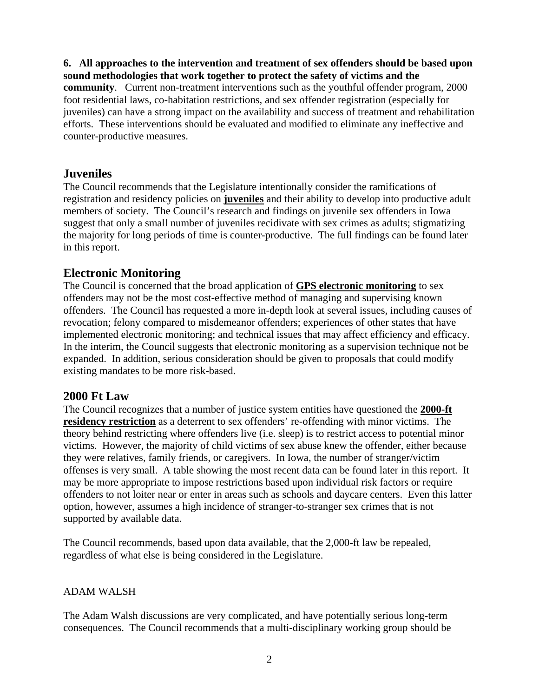#### **6. All approaches to the intervention and treatment of sex offenders should be based upon sound methodologies that work together to protect the safety of victims and the**

**community**. Current non-treatment interventions such as the youthful offender program, 2000 foot residential laws, co-habitation restrictions, and sex offender registration (especially for juveniles) can have a strong impact on the availability and success of treatment and rehabilitation efforts. These interventions should be evaluated and modified to eliminate any ineffective and counter-productive measures.

### **Juveniles**

The Council recommends that the Legislature intentionally consider the ramifications of registration and residency policies on **juveniles** and their ability to develop into productive adult members of society. The Council's research and findings on juvenile sex offenders in Iowa suggest that only a small number of juveniles recidivate with sex crimes as adults; stigmatizing the majority for long periods of time is counter-productive. The full findings can be found later in this report.

### **Electronic Monitoring**

The Council is concerned that the broad application of **GPS electronic monitoring** to sex offenders may not be the most cost-effective method of managing and supervising known offenders. The Council has requested a more in-depth look at several issues, including causes of revocation; felony compared to misdemeanor offenders; experiences of other states that have implemented electronic monitoring; and technical issues that may affect efficiency and efficacy. In the interim, the Council suggests that electronic monitoring as a supervision technique not be expanded. In addition, serious consideration should be given to proposals that could modify existing mandates to be more risk-based.

### **2000 Ft Law**

The Council recognizes that a number of justice system entities have questioned the **2000-ft residency restriction** as a deterrent to sex offenders' re-offending with minor victims. The theory behind restricting where offenders live (i.e. sleep) is to restrict access to potential minor victims. However, the majority of child victims of sex abuse knew the offender, either because they were relatives, family friends, or caregivers. In Iowa, the number of stranger/victim offenses is very small. A table showing the most recent data can be found later in this report. It may be more appropriate to impose restrictions based upon individual risk factors or require offenders to not loiter near or enter in areas such as schools and daycare centers. Even this latter option, however, assumes a high incidence of stranger-to-stranger sex crimes that is not supported by available data.

The Council recommends, based upon data available, that the 2,000-ft law be repealed, regardless of what else is being considered in the Legislature.

### ADAM WALSH

The Adam Walsh discussions are very complicated, and have potentially serious long-term consequences. The Council recommends that a multi-disciplinary working group should be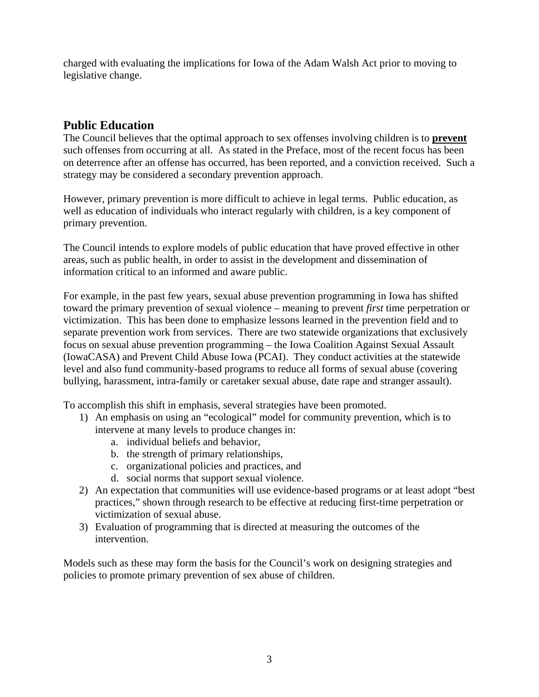charged with evaluating the implications for Iowa of the Adam Walsh Act prior to moving to legislative change.

## **Public Education**

The Council believes that the optimal approach to sex offenses involving children is to **prevent** such offenses from occurring at all. As stated in the Preface, most of the recent focus has been on deterrence after an offense has occurred, has been reported, and a conviction received. Such a strategy may be considered a secondary prevention approach.

However, primary prevention is more difficult to achieve in legal terms. Public education, as well as education of individuals who interact regularly with children, is a key component of primary prevention.

The Council intends to explore models of public education that have proved effective in other areas, such as public health, in order to assist in the development and dissemination of information critical to an informed and aware public.

For example, in the past few years, sexual abuse prevention programming in Iowa has shifted toward the primary prevention of sexual violence – meaning to prevent *first* time perpetration or victimization. This has been done to emphasize lessons learned in the prevention field and to separate prevention work from services. There are two statewide organizations that exclusively focus on sexual abuse prevention programming – the Iowa Coalition Against Sexual Assault (IowaCASA) and Prevent Child Abuse Iowa (PCAI). They conduct activities at the statewide level and also fund community-based programs to reduce all forms of sexual abuse (covering bullying, harassment, intra-family or caretaker sexual abuse, date rape and stranger assault).

To accomplish this shift in emphasis, several strategies have been promoted.

- 1) An emphasis on using an "ecological" model for community prevention, which is to intervene at many levels to produce changes in:
	- a. individual beliefs and behavior,
	- b. the strength of primary relationships,
	- c. organizational policies and practices, and
	- d. social norms that support sexual violence.
- 2) An expectation that communities will use evidence-based programs or at least adopt "best practices," shown through research to be effective at reducing first-time perpetration or victimization of sexual abuse.
- 3) Evaluation of programming that is directed at measuring the outcomes of the intervention.

Models such as these may form the basis for the Council's work on designing strategies and policies to promote primary prevention of sex abuse of children.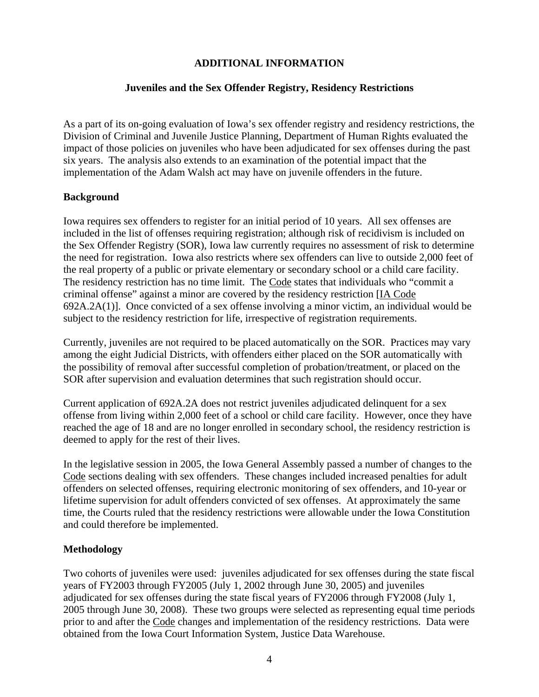#### **ADDITIONAL INFORMATION**

#### **Juveniles and the Sex Offender Registry, Residency Restrictions**

As a part of its on-going evaluation of Iowa's sex offender registry and residency restrictions, the Division of Criminal and Juvenile Justice Planning, Department of Human Rights evaluated the impact of those policies on juveniles who have been adjudicated for sex offenses during the past six years. The analysis also extends to an examination of the potential impact that the implementation of the Adam Walsh act may have on juvenile offenders in the future.

#### **Background**

Iowa requires sex offenders to register for an initial period of 10 years. All sex offenses are included in the list of offenses requiring registration; although risk of recidivism is included on the Sex Offender Registry (SOR), Iowa law currently requires no assessment of risk to determine the need for registration. Iowa also restricts where sex offenders can live to outside 2,000 feet of the real property of a public or private elementary or secondary school or a child care facility. The residency restriction has no time limit. The Code states that individuals who "commit a criminal offense" against a minor are covered by the residency restriction [IA Code 692A.2A(1)]. Once convicted of a sex offense involving a minor victim, an individual would be subject to the residency restriction for life, irrespective of registration requirements.

Currently, juveniles are not required to be placed automatically on the SOR. Practices may vary among the eight Judicial Districts, with offenders either placed on the SOR automatically with the possibility of removal after successful completion of probation/treatment, or placed on the SOR after supervision and evaluation determines that such registration should occur.

Current application of 692A.2A does not restrict juveniles adjudicated delinquent for a sex offense from living within 2,000 feet of a school or child care facility. However, once they have reached the age of 18 and are no longer enrolled in secondary school, the residency restriction is deemed to apply for the rest of their lives.

In the legislative session in 2005, the Iowa General Assembly passed a number of changes to the Code sections dealing with sex offenders. These changes included increased penalties for adult offenders on selected offenses, requiring electronic monitoring of sex offenders, and 10-year or lifetime supervision for adult offenders convicted of sex offenses. At approximately the same time, the Courts ruled that the residency restrictions were allowable under the Iowa Constitution and could therefore be implemented.

#### **Methodology**

Two cohorts of juveniles were used: juveniles adjudicated for sex offenses during the state fiscal years of FY2003 through FY2005 (July 1, 2002 through June 30, 2005) and juveniles adjudicated for sex offenses during the state fiscal years of FY2006 through FY2008 (July 1, 2005 through June 30, 2008). These two groups were selected as representing equal time periods prior to and after the Code changes and implementation of the residency restrictions. Data were obtained from the Iowa Court Information System, Justice Data Warehouse.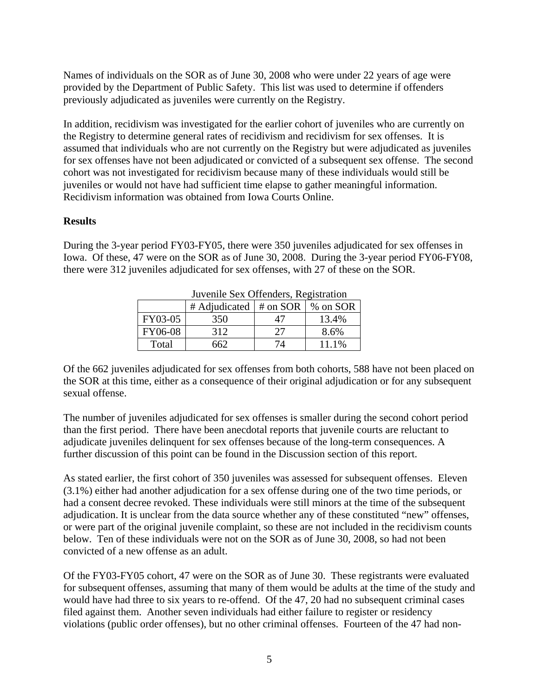Names of individuals on the SOR as of June 30, 2008 who were under 22 years of age were provided by the Department of Public Safety. This list was used to determine if offenders previously adjudicated as juveniles were currently on the Registry.

In addition, recidivism was investigated for the earlier cohort of juveniles who are currently on the Registry to determine general rates of recidivism and recidivism for sex offenses. It is assumed that individuals who are not currently on the Registry but were adjudicated as juveniles for sex offenses have not been adjudicated or convicted of a subsequent sex offense. The second cohort was not investigated for recidivism because many of these individuals would still be juveniles or would not have had sufficient time elapse to gather meaningful information. Recidivism information was obtained from Iowa Courts Online.

#### **Results**

During the 3-year period FY03-FY05, there were 350 juveniles adjudicated for sex offenses in Iowa. Of these, 47 were on the SOR as of June 30, 2008. During the 3-year period FY06-FY08, there were 312 juveniles adjudicated for sex offenses, with 27 of these on the SOR.

| JUVENNE SEX OTTENUELS, REGISTRATION |                                         |    |       |  |  |
|-------------------------------------|-----------------------------------------|----|-------|--|--|
|                                     | # Adjudicated $ $ # on SOR $ $ % on SOR |    |       |  |  |
| FY03-05                             | 350                                     | 47 | 13.4% |  |  |
| FY06-08                             | 312                                     | 27 | 8.6%  |  |  |
| Total                               | .662                                    | 7Δ | 11.1% |  |  |

Juvenile Sex Offenders, Registration

Of the 662 juveniles adjudicated for sex offenses from both cohorts, 588 have not been placed on the SOR at this time, either as a consequence of their original adjudication or for any subsequent sexual offense.

The number of juveniles adjudicated for sex offenses is smaller during the second cohort period than the first period. There have been anecdotal reports that juvenile courts are reluctant to adjudicate juveniles delinquent for sex offenses because of the long-term consequences. A further discussion of this point can be found in the Discussion section of this report.

As stated earlier, the first cohort of 350 juveniles was assessed for subsequent offenses. Eleven (3.1%) either had another adjudication for a sex offense during one of the two time periods, or had a consent decree revoked. These individuals were still minors at the time of the subsequent adjudication. It is unclear from the data source whether any of these constituted "new" offenses, or were part of the original juvenile complaint, so these are not included in the recidivism counts below. Ten of these individuals were not on the SOR as of June 30, 2008, so had not been convicted of a new offense as an adult.

Of the FY03-FY05 cohort, 47 were on the SOR as of June 30. These registrants were evaluated for subsequent offenses, assuming that many of them would be adults at the time of the study and would have had three to six years to re-offend. Of the 47, 20 had no subsequent criminal cases filed against them. Another seven individuals had either failure to register or residency violations (public order offenses), but no other criminal offenses. Fourteen of the 47 had non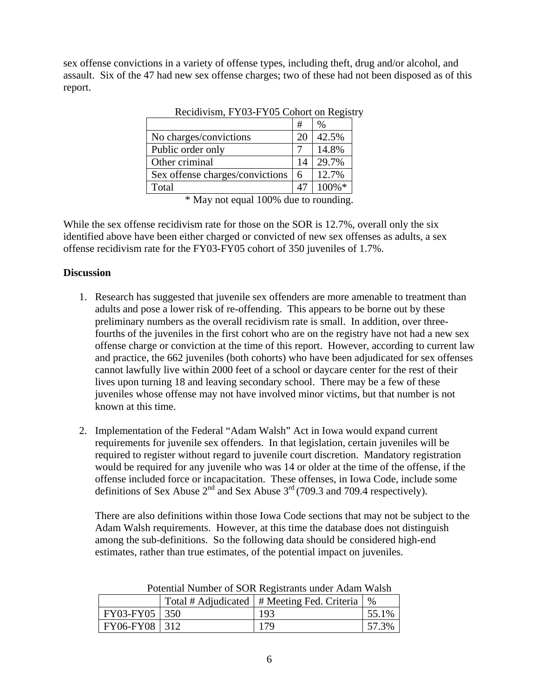sex offense convictions in a variety of offense types, including theft, drug and/or alcohol, and assault. Six of the 47 had new sex offense charges; two of these had not been disposed as of this report.

|                                 | #  | %         |
|---------------------------------|----|-----------|
| No charges/convictions          | 20 | 42.5%     |
| Public order only               |    | 14.8%     |
| Other criminal                  | 14 | 29.7%     |
| Sex offense charges/convictions | 6  | 12.7%     |
| Total                           |    | $100\%$ * |

Recidivism, FY03-FY05 Cohort on Registry

While the sex offense recidivism rate for those on the SOR is 12.7%, overall only the six identified above have been either charged or convicted of new sex offenses as adults, a sex offense recidivism rate for the FY03-FY05 cohort of 350 juveniles of 1.7%.

### **Discussion**

- 1. Research has suggested that juvenile sex offenders are more amenable to treatment than adults and pose a lower risk of re-offending. This appears to be borne out by these preliminary numbers as the overall recidivism rate is small. In addition, over threefourths of the juveniles in the first cohort who are on the registry have not had a new sex offense charge or conviction at the time of this report. However, according to current law and practice, the 662 juveniles (both cohorts) who have been adjudicated for sex offenses cannot lawfully live within 2000 feet of a school or daycare center for the rest of their lives upon turning 18 and leaving secondary school. There may be a few of these juveniles whose offense may not have involved minor victims, but that number is not known at this time.
- 2. Implementation of the Federal "Adam Walsh" Act in Iowa would expand current requirements for juvenile sex offenders. In that legislation, certain juveniles will be required to register without regard to juvenile court discretion. Mandatory registration would be required for any juvenile who was 14 or older at the time of the offense, if the offense included force or incapacitation. These offenses, in Iowa Code, include some definitions of Sex Abuse  $2<sup>nd</sup>$  and Sex Abuse  $3<sup>rd</sup>$  (709.3 and 709.4 respectively).

There are also definitions within those Iowa Code sections that may not be subject to the Adam Walsh requirements. However, at this time the database does not distinguish among the sub-definitions. So the following data should be considered high-end estimates, rather than true estimates, of the potential impact on juveniles.

| I otential Founder of BOIX Registration and the reality wall |  |                                               |       |  |  |
|--------------------------------------------------------------|--|-----------------------------------------------|-------|--|--|
|                                                              |  | Total # Adjudicated   # Meeting Fed. Criteria | $\%$  |  |  |
| $FY03-FY05$ 350                                              |  | 193                                           | 55.1% |  |  |
| FY06-FY08 312                                                |  | 179                                           |       |  |  |

Potential Number of SOR Registrants under Adam Walsh

<sup>\*</sup> May not equal 100% due to rounding.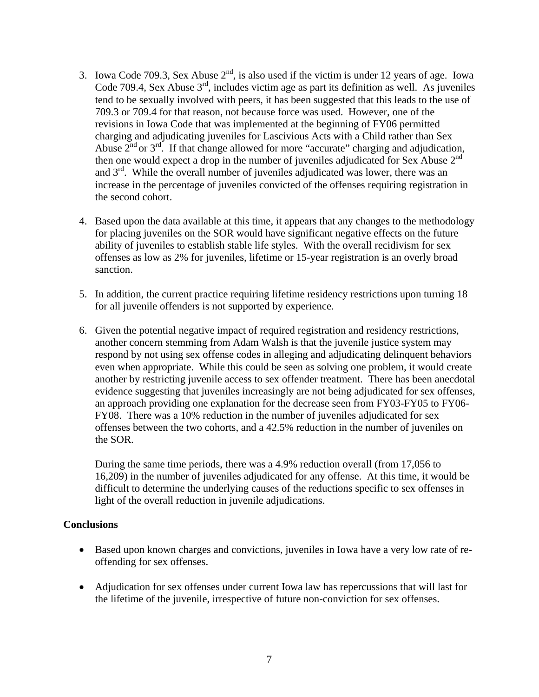- 3. Iowa Code 709.3, Sex Abuse  $2<sup>nd</sup>$ , is also used if the victim is under 12 years of age. Iowa Code 709.4, Sex Abuse  $3<sup>rd</sup>$ , includes victim age as part its definition as well. As juveniles tend to be sexually involved with peers, it has been suggested that this leads to the use of 709.3 or 709.4 for that reason, not because force was used. However, one of the revisions in Iowa Code that was implemented at the beginning of FY06 permitted charging and adjudicating juveniles for Lascivious Acts with a Child rather than Sex Abuse  $2<sup>nd</sup>$  or  $3<sup>rd</sup>$ . If that change allowed for more "accurate" charging and adjudication, then one would expect a drop in the number of juveniles adjudicated for Sex Abuse 2<sup>nd</sup> and  $3<sup>rd</sup>$ . While the overall number of juveniles adjudicated was lower, there was an increase in the percentage of juveniles convicted of the offenses requiring registration in the second cohort.
- 4. Based upon the data available at this time, it appears that any changes to the methodology for placing juveniles on the SOR would have significant negative effects on the future ability of juveniles to establish stable life styles. With the overall recidivism for sex offenses as low as 2% for juveniles, lifetime or 15-year registration is an overly broad sanction.
- 5. In addition, the current practice requiring lifetime residency restrictions upon turning 18 for all juvenile offenders is not supported by experience.
- 6. Given the potential negative impact of required registration and residency restrictions, another concern stemming from Adam Walsh is that the juvenile justice system may respond by not using sex offense codes in alleging and adjudicating delinquent behaviors even when appropriate. While this could be seen as solving one problem, it would create another by restricting juvenile access to sex offender treatment. There has been anecdotal evidence suggesting that juveniles increasingly are not being adjudicated for sex offenses, an approach providing one explanation for the decrease seen from FY03-FY05 to FY06- FY08. There was a 10% reduction in the number of juveniles adjudicated for sex offenses between the two cohorts, and a 42.5% reduction in the number of juveniles on the SOR.

During the same time periods, there was a 4.9% reduction overall (from 17,056 to 16,209) in the number of juveniles adjudicated for any offense. At this time, it would be difficult to determine the underlying causes of the reductions specific to sex offenses in light of the overall reduction in juvenile adjudications.

#### **Conclusions**

- Based upon known charges and convictions, juveniles in Iowa have a very low rate of reoffending for sex offenses.
- Adjudication for sex offenses under current Iowa law has repercussions that will last for the lifetime of the juvenile, irrespective of future non-conviction for sex offenses.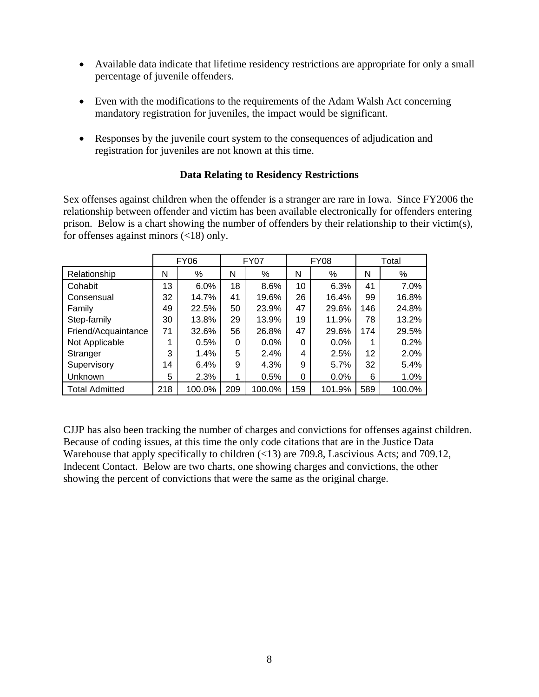- Available data indicate that lifetime residency restrictions are appropriate for only a small percentage of juvenile offenders.
- Even with the modifications to the requirements of the Adam Walsh Act concerning mandatory registration for juveniles, the impact would be significant.
- Responses by the juvenile court system to the consequences of adjudication and registration for juveniles are not known at this time.

#### **Data Relating to Residency Restrictions**

Sex offenses against children when the offender is a stranger are rare in Iowa. Since FY2006 the relationship between offender and victim has been available electronically for offenders entering prison. Below is a chart showing the number of offenders by their relationship to their victim(s), for offenses against minors (<18) only.

|                       |     | <b>FY06</b> |     | <b>FY07</b> |     | <b>FY08</b> |     | Total  |
|-----------------------|-----|-------------|-----|-------------|-----|-------------|-----|--------|
| Relationship          | N   | %           | N   | ℅           | N   | %           | N   | %      |
| Cohabit               | 13  | 6.0%        | 18  | 8.6%        | 10  | 6.3%        | 41  | 7.0%   |
| Consensual            | 32  | 14.7%       | 41  | 19.6%       | 26  | 16.4%       | 99  | 16.8%  |
| Family                | 49  | 22.5%       | 50  | 23.9%       | 47  | 29.6%       | 146 | 24.8%  |
| Step-family           | 30  | 13.8%       | 29  | 13.9%       | 19  | 11.9%       | 78  | 13.2%  |
| Friend/Acquaintance   | 71  | 32.6%       | 56  | 26.8%       | 47  | 29.6%       | 174 | 29.5%  |
| Not Applicable        | 1   | 0.5%        | 0   | 0.0%        | 0   | $0.0\%$     | 1   | 0.2%   |
| Stranger              | 3   | 1.4%        | 5   | 2.4%        | 4   | 2.5%        | 12  | 2.0%   |
| Supervisory           | 14  | 6.4%        | 9   | 4.3%        | 9   | $5.7\%$     | 32  | 5.4%   |
| Unknown               | 5   | 2.3%        | 1   | 0.5%        | 0   | $0.0\%$     | 6   | 1.0%   |
| <b>Total Admitted</b> | 218 | 100.0%      | 209 | 100.0%      | 159 | 101.9%      | 589 | 100.0% |

CJJP has also been tracking the number of charges and convictions for offenses against children. Because of coding issues, at this time the only code citations that are in the Justice Data Warehouse that apply specifically to children (<13) are 709.8, Lascivious Acts; and 709.12, Indecent Contact. Below are two charts, one showing charges and convictions, the other showing the percent of convictions that were the same as the original charge.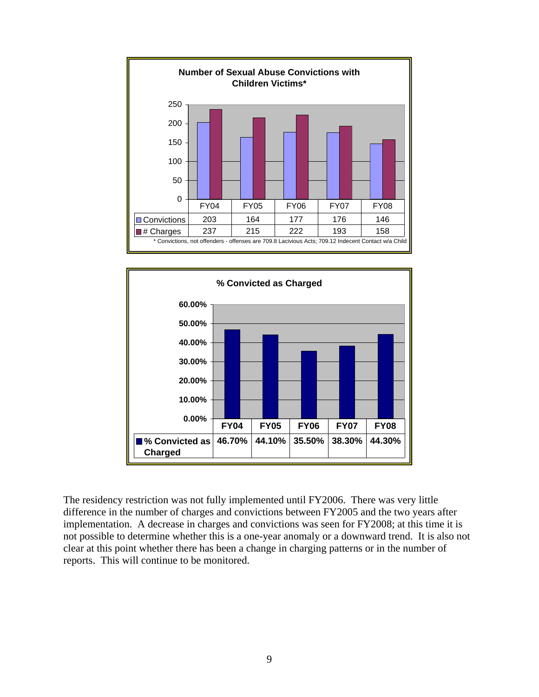



The residency restriction was not fully implemented until FY2006. There was very little difference in the number of charges and convictions between FY2005 and the two years after implementation. A decrease in charges and convictions was seen for FY2008; at this time it is not possible to determine whether this is a one-year anomaly or a downward trend. It is also not clear at this point whether there has been a change in charging patterns or in the number of reports. This will continue to be monitored.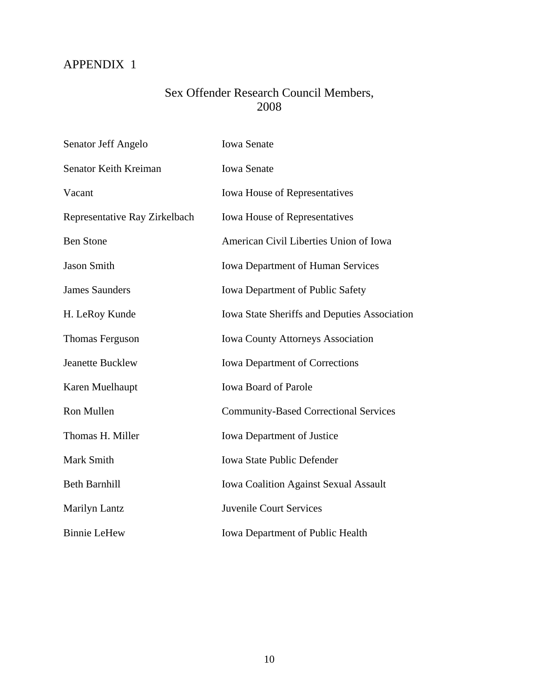# APPENDIX 1

## Sex Offender Research Council Members, 2008

| Senator Jeff Angelo           | <b>Iowa Senate</b>                                  |
|-------------------------------|-----------------------------------------------------|
| Senator Keith Kreiman         | <b>Iowa Senate</b>                                  |
| Vacant                        | <b>Iowa House of Representatives</b>                |
| Representative Ray Zirkelbach | <b>Iowa House of Representatives</b>                |
| <b>Ben Stone</b>              | American Civil Liberties Union of Iowa              |
| <b>Jason Smith</b>            | <b>Iowa Department of Human Services</b>            |
| <b>James Saunders</b>         | Iowa Department of Public Safety                    |
| H. LeRoy Kunde                | <b>Iowa State Sheriffs and Deputies Association</b> |
| Thomas Ferguson               | <b>Iowa County Attorneys Association</b>            |
| <b>Jeanette Bucklew</b>       | <b>Iowa Department of Corrections</b>               |
| Karen Muelhaupt               | <b>Iowa Board of Parole</b>                         |
| Ron Mullen                    | <b>Community-Based Correctional Services</b>        |
| Thomas H. Miller              | <b>Iowa Department of Justice</b>                   |
| Mark Smith                    | <b>Iowa State Public Defender</b>                   |
| <b>Beth Barnhill</b>          | <b>Iowa Coalition Against Sexual Assault</b>        |
| Marilyn Lantz                 | <b>Juvenile Court Services</b>                      |
| <b>Binnie LeHew</b>           | <b>Iowa Department of Public Health</b>             |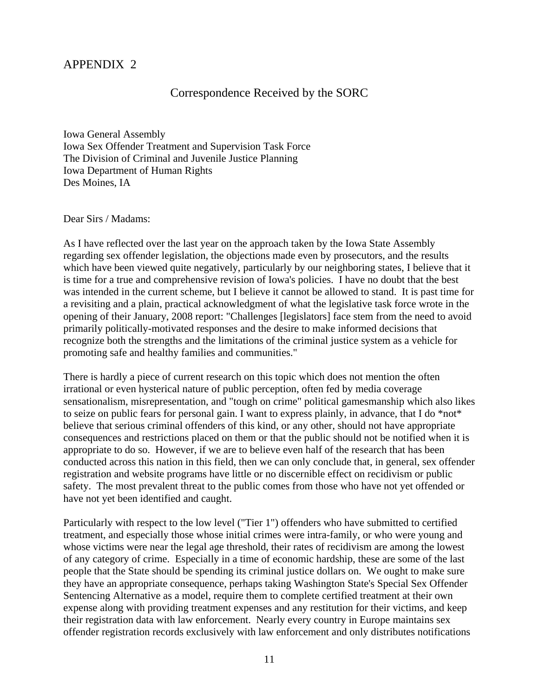### APPENDIX 2

### Correspondence Received by the SORC

Iowa General Assembly Iowa Sex Offender Treatment and Supervision Task Force The Division of Criminal and Juvenile Justice Planning Iowa Department of Human Rights Des Moines, IA

Dear Sirs / Madams:

As I have reflected over the last year on the approach taken by the Iowa State Assembly regarding sex offender legislation, the objections made even by prosecutors, and the results which have been viewed quite negatively, particularly by our neighboring states, I believe that it is time for a true and comprehensive revision of Iowa's policies. I have no doubt that the best was intended in the current scheme, but I believe it cannot be allowed to stand. It is past time for a revisiting and a plain, practical acknowledgment of what the legislative task force wrote in the opening of their January, 2008 report: "Challenges [legislators] face stem from the need to avoid primarily politically-motivated responses and the desire to make informed decisions that recognize both the strengths and the limitations of the criminal justice system as a vehicle for promoting safe and healthy families and communities."

There is hardly a piece of current research on this topic which does not mention the often irrational or even hysterical nature of public perception, often fed by media coverage sensationalism, misrepresentation, and "tough on crime" political gamesmanship which also likes to seize on public fears for personal gain. I want to express plainly, in advance, that I do \*not\* believe that serious criminal offenders of this kind, or any other, should not have appropriate consequences and restrictions placed on them or that the public should not be notified when it is appropriate to do so. However, if we are to believe even half of the research that has been conducted across this nation in this field, then we can only conclude that, in general, sex offender registration and website programs have little or no discernible effect on recidivism or public safety. The most prevalent threat to the public comes from those who have not yet offended or have not yet been identified and caught.

Particularly with respect to the low level ("Tier 1") offenders who have submitted to certified treatment, and especially those whose initial crimes were intra-family, or who were young and whose victims were near the legal age threshold, their rates of recidivism are among the lowest of any category of crime. Especially in a time of economic hardship, these are some of the last people that the State should be spending its criminal justice dollars on. We ought to make sure they have an appropriate consequence, perhaps taking Washington State's Special Sex Offender Sentencing Alternative as a model, require them to complete certified treatment at their own expense along with providing treatment expenses and any restitution for their victims, and keep their registration data with law enforcement. Nearly every country in Europe maintains sex offender registration records exclusively with law enforcement and only distributes notifications